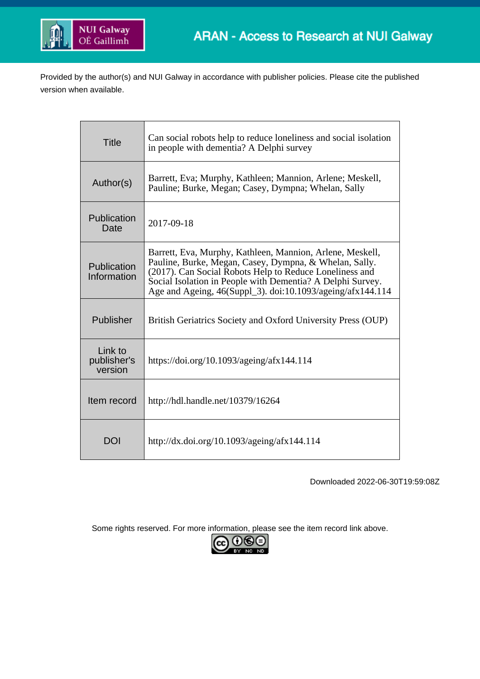

Provided by the author(s) and NUI Galway in accordance with publisher policies. Please cite the published version when available.

| <b>Title</b>                      | Can social robots help to reduce loneliness and social isolation<br>in people with dementia? A Delphi survey                                                                                                                                                                                               |
|-----------------------------------|------------------------------------------------------------------------------------------------------------------------------------------------------------------------------------------------------------------------------------------------------------------------------------------------------------|
| Author(s)                         | Barrett, Eva; Murphy, Kathleen; Mannion, Arlene; Meskell,<br>Pauline; Burke, Megan; Casey, Dympna; Whelan, Sally                                                                                                                                                                                           |
| Publication<br>Date               | 2017-09-18                                                                                                                                                                                                                                                                                                 |
| Publication<br>Information        | Barrett, Eva, Murphy, Kathleen, Mannion, Arlene, Meskell,<br>Pauline, Burke, Megan, Casey, Dympna, & Whelan, Sally.<br>(2017). Can Social Robots Help to Reduce Loneliness and<br>Social Isolation in People with Dementia? A Delphi Survey.<br>Age and Ageing, 46(Suppl_3). doi:10.1093/ageing/afx144.114 |
| Publisher                         | British Geriatrics Society and Oxford University Press (OUP)                                                                                                                                                                                                                                               |
| Link to<br>publisher's<br>version | https://doi.org/10.1093/ageing/afx144.114                                                                                                                                                                                                                                                                  |
| Item record                       | http://hdl.handle.net/10379/16264                                                                                                                                                                                                                                                                          |
| DOI                               | http://dx.doi.org/10.1093/ageing/afx144.114                                                                                                                                                                                                                                                                |

Downloaded 2022-06-30T19:59:08Z

Some rights reserved. For more information, please see the item record link above.